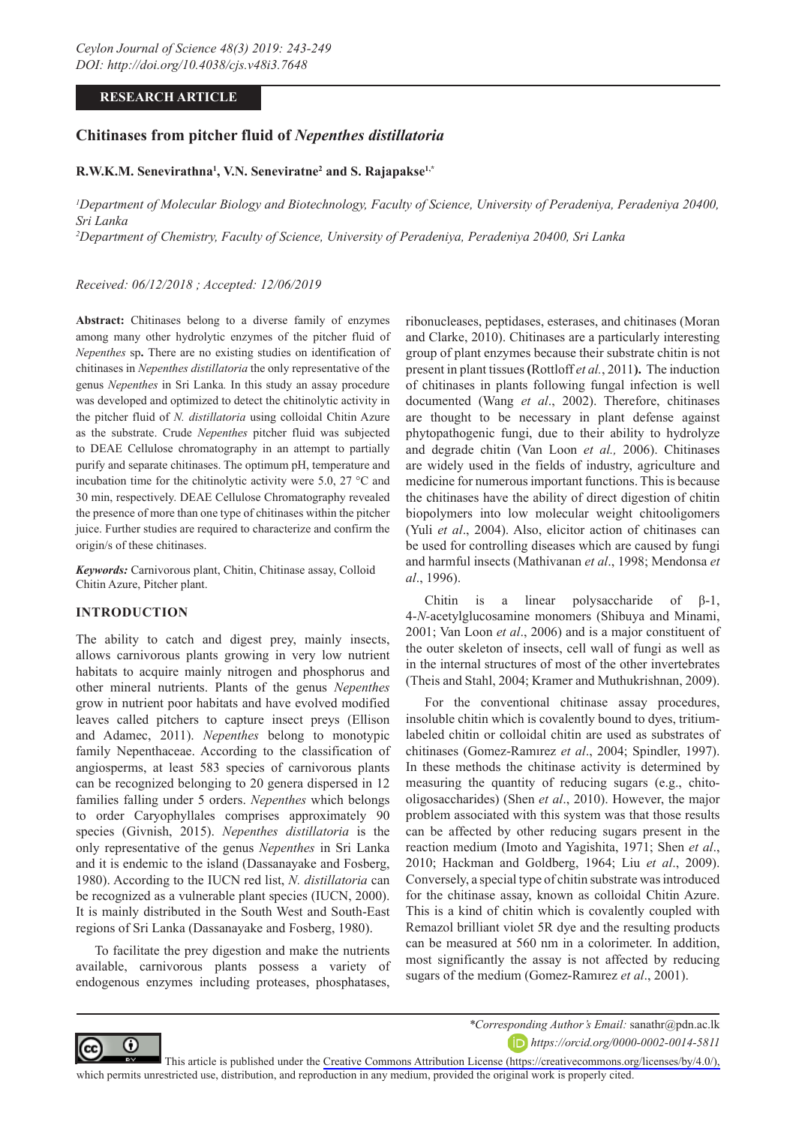# **RESEARCH ARTICLE**

# **Chitinases from pitcher fluid of** *Nepenthes distillatoria*

#### **R.W.K.M. Senevirathna1 , V.N. Seneviratne2 and S. Rajapakse1,\***

*1 Department of Molecular Biology and Biotechnology, Faculty of Science, University of Peradeniya, Peradeniya 20400, Sri Lanka*

*2 Department of Chemistry, Faculty of Science, University of Peradeniya, Peradeniya 20400, Sri Lanka*

### *Received: 06/12/2018 ; Accepted: 12/06/2019*

**Abstract:** Chitinases belong to a diverse family of enzymes among many other hydrolytic enzymes of the pitcher fluid of *Nepenthes* sp**.** There are no existing studies on identification of chitinases in *Nepenthes distillatoria* the only representative of the genus *Nepenthes* in Sri Lanka*.* In this study an assay procedure was developed and optimized to detect the chitinolytic activity in the pitcher fluid of *N. distillatoria* using colloidal Chitin Azure as the substrate. Crude *Nepenthes* pitcher fluid was subjected to DEAE Cellulose chromatography in an attempt to partially purify and separate chitinases. The optimum pH, temperature and incubation time for the chitinolytic activity were 5.0, 27 °C and 30 min, respectively. DEAE Cellulose Chromatography revealed the presence of more than one type of chitinases within the pitcher juice. Further studies are required to characterize and confirm the origin/s of these chitinases.

*Keywords:* Carnivorous plant, Chitin, Chitinase assay, Colloid Chitin Azure, Pitcher plant.

#### **INTRODUCTION**

⋒

The ability to catch and digest prey, mainly insects, allows carnivorous plants growing in very low nutrient habitats to acquire mainly nitrogen and phosphorus and other mineral nutrients. Plants of the genus *Nepenthes*  grow in nutrient poor habitats and have evolved modified leaves called pitchers to capture insect preys (Ellison and Adamec, 2011). *Nepenthes* belong to monotypic family Nepenthaceae. According to the classification of angiosperms, at least 583 species of carnivorous plants can be recognized belonging to 20 genera dispersed in 12 families falling under 5 orders. *Nepenthes* which belongs to order Caryophyllales comprises approximately 90 species (Givnish, 2015). *Nepenthes distillatoria* is the only representative of the genus *Nepenthes* in Sri Lanka and it is endemic to the island (Dassanayake and Fosberg, 1980). According to the IUCN red list, *N. distillatoria* can be recognized as a vulnerable plant species (IUCN, 2000). It is mainly distributed in the South West and South-East regions of Sri Lanka (Dassanayake and Fosberg, 1980).

To facilitate the prey digestion and make the nutrients available, carnivorous plants possess a variety of endogenous enzymes including proteases, phosphatases,

ribonucleases, peptidases, esterases, and chitinases (Moran and Clarke, 2010). Chitinases are a particularly interesting group of plant enzymes because their substrate chitin is not present in plant tissues **(**Rottloff *et al.*, 2011**).** The induction of chitinases in plants following fungal infection is well documented (Wang *et al*., 2002). Therefore, chitinases are thought to be necessary in plant defense against phytopathogenic fungi, due to their ability to hydrolyze and degrade chitin (Van Loon *et al.,* 2006). Chitinases are widely used in the fields of industry, agriculture and medicine for numerous important functions. This is because the chitinases have the ability of direct digestion of chitin biopolymers into low molecular weight chitooligomers (Yuli *et al*., 2004). Also, elicitor action of chitinases can be used for controlling diseases which are caused by fungi and harmful insects (Mathivanan *et al*., 1998; Mendonsa *et al*., 1996).

Chitin is a linear polysaccharide of β-1, 4-*N-*acetylglucosamine monomers (Shibuya and Minami, 2001; Van Loon *et al*., 2006) and is a major constituent of the outer skeleton of insects, cell wall of fungi as well as in the internal structures of most of the other invertebrates (Theis and Stahl, 2004; Kramer and Muthukrishnan, 2009).

For the conventional chitinase assay procedures, insoluble chitin which is covalently bound to dyes, tritiumlabeled chitin or colloidal chitin are used as substrates of chitinases (Gomez-Ramırez *et al*., 2004; Spindler, 1997). In these methods the chitinase activity is determined by measuring the quantity of reducing sugars (e.g., chitooligosaccharides) (Shen *et al*., 2010). However, the major problem associated with this system was that those results can be affected by other reducing sugars present in the reaction medium (Imoto and Yagishita, 1971; Shen *et al*., 2010; Hackman and Goldberg, 1964; Liu *et al*., 2009). Conversely, a special type of chitin substrate was introduced for the chitinase assay, known as colloidal Chitin Azure. This is a kind of chitin which is covalently coupled with Remazol brilliant violet 5R dye and the resulting products can be measured at 560 nm in a colorimeter. In addition, most significantly the assay is not affected by reducing sugars of the medium (Gomez-Ramırez *et al*., 2001).



This article is published under the [Creative Commons Attribution License \(https://creativecommons.org/licenses/by/4.0/\),](https://creativecommons.org/licenses/by/4.0/)  which permits unrestricted use, distribution, and reproduction in any medium, provided the original work is properly cited.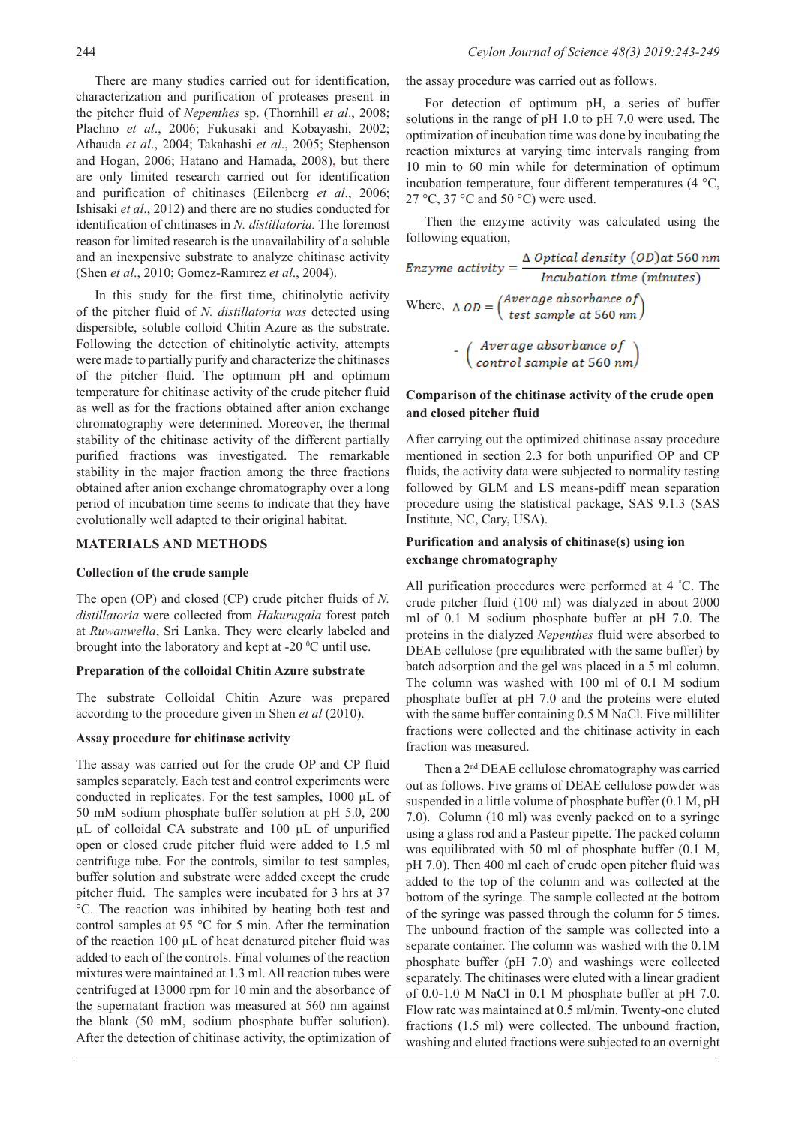There are many studies carried out for identification, characterization and purification of proteases present in the pitcher fluid of *Nepenthes* sp. (Thornhill *et al*., 2008; Plachno *et al*., 2006; Fukusaki and Kobayashi, 2002; Athauda *et al*., 2004; Takahashi *et al*., 2005; Stephenson and Hogan, 2006; Hatano and Hamada, 2008), but there are only limited research carried out for identification and purification of chitinases (Eilenberg *et al*., 2006; Ishisaki *et al*., 2012) and there are no studies conducted for identification of chitinases in *N. distillatoria.* The foremost reason for limited research is the unavailability of a soluble and an inexpensive substrate to analyze chitinase activity (Shen *et al*., 2010; Gomez-Ramırez *et al*., 2004).

In this study for the first time, chitinolytic activity of the pitcher fluid of *N. distillatoria was* detected using dispersible, soluble colloid Chitin Azure as the substrate. Following the detection of chitinolytic activity, attempts were made to partially purify and characterize the chitinases of the pitcher fluid. The optimum pH and optimum temperature for chitinase activity of the crude pitcher fluid as well as for the fractions obtained after anion exchange chromatography were determined. Moreover, the thermal stability of the chitinase activity of the different partially purified fractions was investigated. The remarkable stability in the major fraction among the three fractions obtained after anion exchange chromatography over a long period of incubation time seems to indicate that they have evolutionally well adapted to their original habitat.

### **MATERIALS AND METHODS**

#### **Collection of the crude sample**

The open (OP) and closed (CP) crude pitcher fluids of *N. distillatoria* were collected from *Hakurugala* forest patch at *Ruwanwella*, Sri Lanka. They were clearly labeled and brought into the laboratory and kept at -20  $\rm{^0C}$  until use.

#### **Preparation of the colloidal Chitin Azure substrate**

The substrate Colloidal Chitin Azure was prepared according to the procedure given in Shen *et al* (2010).

# **Assay procedure for chitinase activity**

The assay was carried out for the crude OP and CP fluid samples separately. Each test and control experiments were conducted in replicates. For the test samples, 1000 µL of 50 mM sodium phosphate buffer solution at pH 5.0, 200 µL of colloidal CA substrate and 100 µL of unpurified open or closed crude pitcher fluid were added to 1.5 ml centrifuge tube. For the controls, similar to test samples, buffer solution and substrate were added except the crude pitcher fluid. The samples were incubated for 3 hrs at 37 °C. The reaction was inhibited by heating both test and control samples at 95 °C for 5 min. After the termination of the reaction 100 µL of heat denatured pitcher fluid was added to each of the controls. Final volumes of the reaction mixtures were maintained at 1.3 ml. All reaction tubes were centrifuged at 13000 rpm for 10 min and the absorbance of the supernatant fraction was measured at 560 nm against the blank (50 mM, sodium phosphate buffer solution). After the detection of chitinase activity, the optimization of the assay procedure was carried out as follows.

For detection of optimum pH, a series of buffer solutions in the range of pH 1.0 to pH 7.0 were used. The optimization of incubation time was done by incubating the reaction mixtures at varying time intervals ranging from 10 min to 60 min while for determination of optimum incubation temperature, four different temperatures (4 °C, 27 °C, 37 °C and 50 °C) were used.

Then the enzyme activity was calculated using the following equation,

Enzyme activity =  $\frac{\Delta \text{ Optical density (OD)} at 560 \text{ nm}}{Incubation time (minutes)}$ 

Where,  $\triangle$  *OD* =  $\begin{pmatrix} Average\ absolute\ distance\ of\ test\ sample\ at\ 560\ nm\end{pmatrix}$ 

*-* (Average absorbance of<br>control sample at 560 nm)

# **Comparison of the chitinase activity of the crude open and closed pitcher fluid**

After carrying out the optimized chitinase assay procedure mentioned in section 2.3 for both unpurified OP and CP fluids, the activity data were subjected to normality testing followed by GLM and LS means-pdiff mean separation procedure using the statistical package, SAS 9.1.3 (SAS Institute, NC, Cary, USA).

# **Purification and analysis of chitinase(s) using ion exchange chromatography**

All purification procedures were performed at 4 ° C. The crude pitcher fluid (100 ml) was dialyzed in about 2000 ml of 0.1 M sodium phosphate buffer at pH 7.0. The proteins in the dialyzed *Nepenthes* fluid were absorbed to DEAE cellulose (pre equilibrated with the same buffer) by batch adsorption and the gel was placed in a 5 ml column. The column was washed with 100 ml of 0.1 M sodium phosphate buffer at pH 7.0 and the proteins were eluted with the same buffer containing 0.5 M NaCl. Five milliliter fractions were collected and the chitinase activity in each fraction was measured.

Then a 2nd DEAE cellulose chromatography was carried out as follows. Five grams of DEAE cellulose powder was suspended in a little volume of phosphate buffer (0.1 M, pH 7.0). Column (10 ml) was evenly packed on to a syringe using a glass rod and a Pasteur pipette. The packed column was equilibrated with 50 ml of phosphate buffer (0.1 M, pH 7.0). Then 400 ml each of crude open pitcher fluid was added to the top of the column and was collected at the bottom of the syringe. The sample collected at the bottom of the syringe was passed through the column for 5 times. The unbound fraction of the sample was collected into a separate container. The column was washed with the 0.1M phosphate buffer (pH 7.0) and washings were collected separately. The chitinases were eluted with a linear gradient of 0.0-1.0 M NaCl in 0.1 M phosphate buffer at pH 7.0. Flow rate was maintained at 0.5 ml/min. Twenty-one eluted fractions (1.5 ml) were collected. The unbound fraction, washing and eluted fractions were subjected to an overnight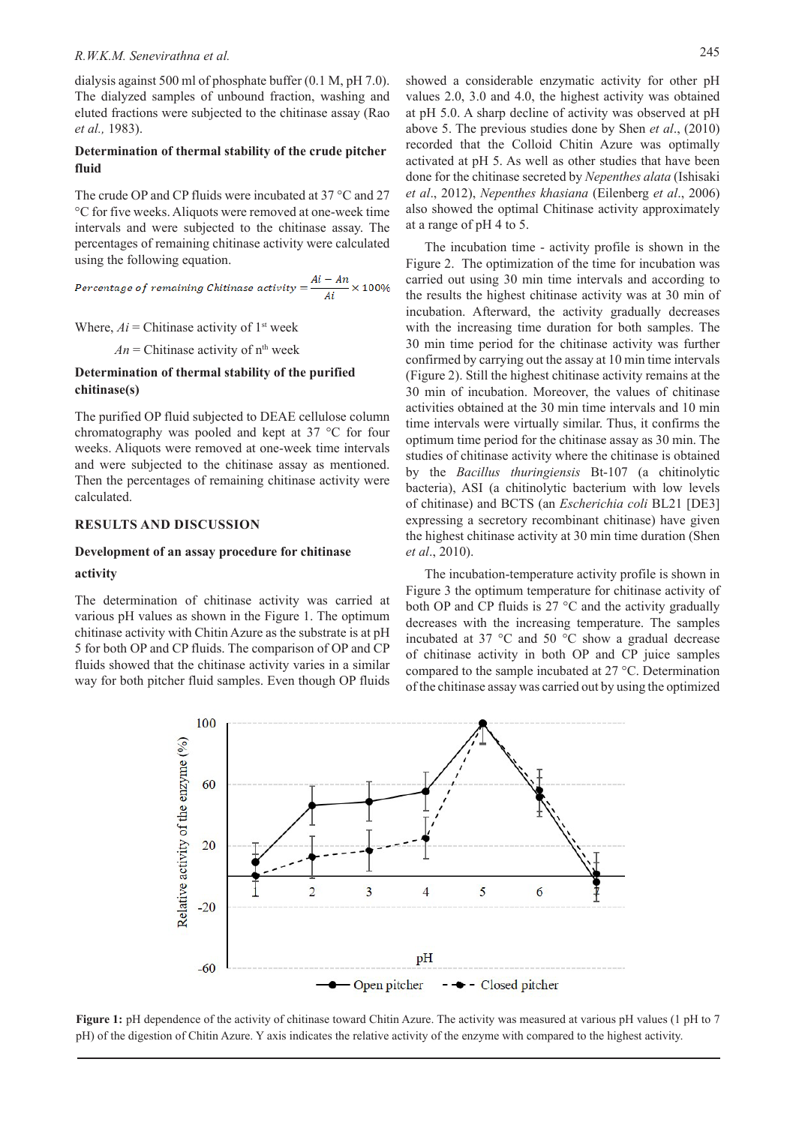# *R.W.K.M. Senevirathna et al.* 245

dialysis against 500 ml of phosphate buffer (0.1 M, pH 7.0). The dialyzed samples of unbound fraction, washing and eluted fractions were subjected to the chitinase assay (Rao *et al.,* 1983).

# **Determination of thermal stability of the crude pitcher fluid**

The crude OP and CP fluids were incubated at 37 °C and 27 °C for five weeks. Aliquots were removed at one-week time intervals and were subjected to the chitinase assay. The percentages of remaining chitinase activity were calculated using the following equation.

Percentage of remaining Chitinase activity  $=$   $\frac{Ai - An}{Ai} \times 100\%$ 

Where, 
$$
Ai
$$
 = Chitinase activity of 1<sup>st</sup> week

 $An =$ Chitinase activity of  $n<sup>th</sup>$  week

# **Determination of thermal stability of the purified chitinase(s)**

The purified OP fluid subjected to DEAE cellulose column chromatography was pooled and kept at 37 °C for four weeks. Aliquots were removed at one-week time intervals and were subjected to the chitinase assay as mentioned. Then the percentages of remaining chitinase activity were calculated.

#### **RESULTS AND DISCUSSION**

#### **Development of an assay procedure for chitinase**

#### **activity**

The determination of chitinase activity was carried at various pH values as shown in the Figure 1. The optimum chitinase activity with Chitin Azure as the substrate is at pH 5 for both OP and CP fluids. The comparison of OP and CP fluids showed that the chitinase activity varies in a similar way for both pitcher fluid samples. Even though OP fluids

showed a considerable enzymatic activity for other pH values 2.0, 3.0 and 4.0, the highest activity was obtained at pH 5.0. A sharp decline of activity was observed at pH above 5. The previous studies done by Shen *et al*., (2010) recorded that the Colloid Chitin Azure was optimally activated at pH 5. As well as other studies that have been done for the chitinase secreted by *Nepenthes alata* (Ishisaki *et al*., 2012), *Nepenthes khasiana* (Eilenberg *et al*., 2006) also showed the optimal Chitinase activity approximately at a range of pH 4 to 5.

The incubation time - activity profile is shown in the Figure 2. The optimization of the time for incubation was carried out using 30 min time intervals and according to the results the highest chitinase activity was at 30 min of incubation. Afterward, the activity gradually decreases with the increasing time duration for both samples. The 30 min time period for the chitinase activity was further confirmed by carrying out the assay at 10 min time intervals (Figure 2). Still the highest chitinase activity remains at the 30 min of incubation. Moreover, the values of chitinase activities obtained at the 30 min time intervals and 10 min time intervals were virtually similar. Thus, it confirms the optimum time period for the chitinase assay as 30 min. The studies of chitinase activity where the chitinase is obtained by the *Bacillus thuringiensis* Bt-107 (a chitinolytic bacteria), ASI (a chitinolytic bacterium with low levels of chitinase) and BCTS (an *Escherichia coli* BL21 [DE3] expressing a secretory recombinant chitinase) have given the highest chitinase activity at 30 min time duration (Shen *et al*., 2010).

The incubation-temperature activity profile is shown in Figure 3 the optimum temperature for chitinase activity of both OP and CP fluids is  $27^{\circ}$ C and the activity gradually decreases with the increasing temperature. The samples incubated at 37 °C and 50 °C show a gradual decrease of chitinase activity in both OP and CP juice samples compared to the sample incubated at 27 °C. Determination of the chitinase assay was carried out by using the optimized



**Figure 1:** pH dependence of the activity of chitinase toward Chitin Azure. The activity was measured at various pH values (1 pH to 7 pH) of the digestion of Chitin Azure. Y axis indicates the relative activity of the enzyme with compared to the highest activity.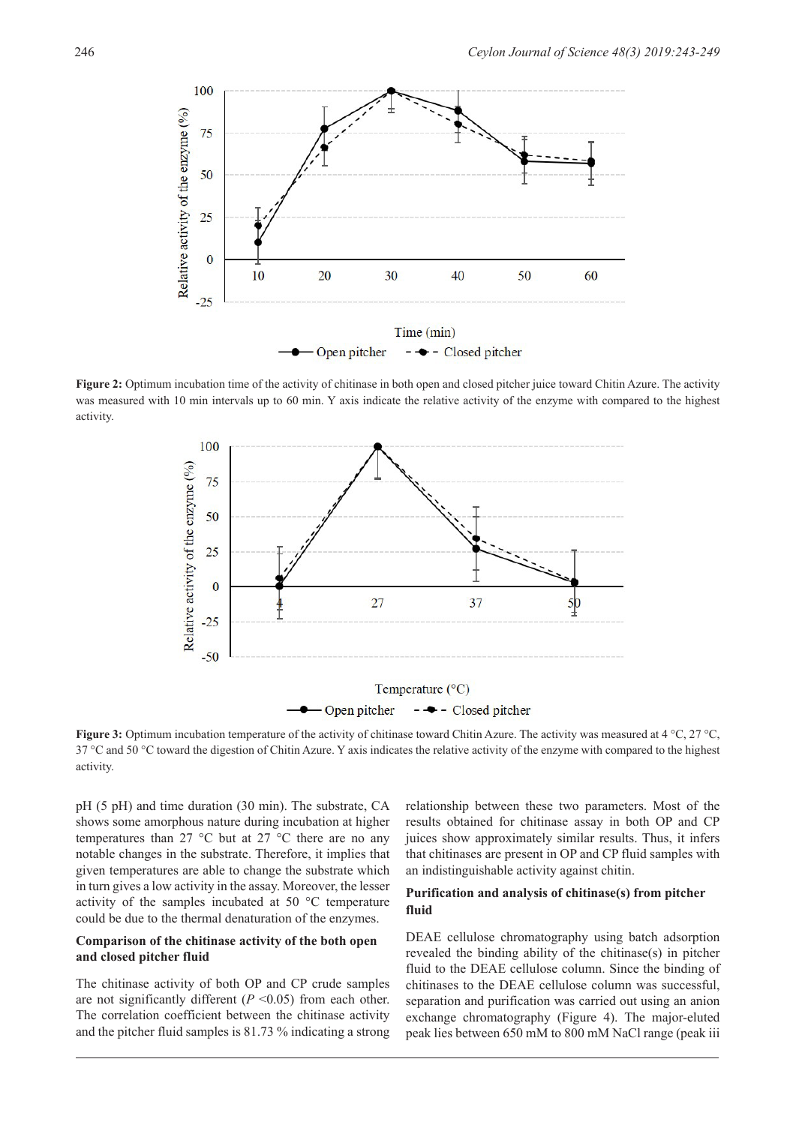

**Figure 2:** Optimum incubation time of the activity of chitinase in both open and closed pitcher juice toward Chitin Azure. The activity was measured with 10 min intervals up to 60 min. Y axis indicate the relative activity of the enzyme with compared to the highest activity.



**Figure 3:** Optimum incubation temperature of the activity of chitinase toward Chitin Azure. The activity was measured at 4 °C, 27 °C, 37 °C and 50 °C toward the digestion of Chitin Azure. Y axis indicates the relative activity of the enzyme with compared to the highest activity.

pH (5 pH) and time duration (30 min). The substrate, CA shows some amorphous nature during incubation at higher temperatures than 27 °C but at 27 °C there are no any notable changes in the substrate. Therefore, it implies that given temperatures are able to change the substrate which in turn gives a low activity in the assay. Moreover, the lesser activity of the samples incubated at 50 °C temperature could be due to the thermal denaturation of the enzymes.

# **Comparison of the chitinase activity of the both open and closed pitcher fluid**

The chitinase activity of both OP and CP crude samples are not significantly different  $(P \le 0.05)$  from each other. The correlation coefficient between the chitinase activity and the pitcher fluid samples is 81.73 % indicating a strong

relationship between these two parameters. Most of the results obtained for chitinase assay in both OP and CP juices show approximately similar results. Thus, it infers that chitinases are present in OP and CP fluid samples with an indistinguishable activity against chitin.

# **Purification and analysis of chitinase(s) from pitcher fluid**

DEAE cellulose chromatography using batch adsorption revealed the binding ability of the chitinase(s) in pitcher fluid to the DEAE cellulose column. Since the binding of chitinases to the DEAE cellulose column was successful, separation and purification was carried out using an anion exchange chromatography (Figure 4). The major-eluted peak lies between 650 mM to 800 mM NaCl range (peak iii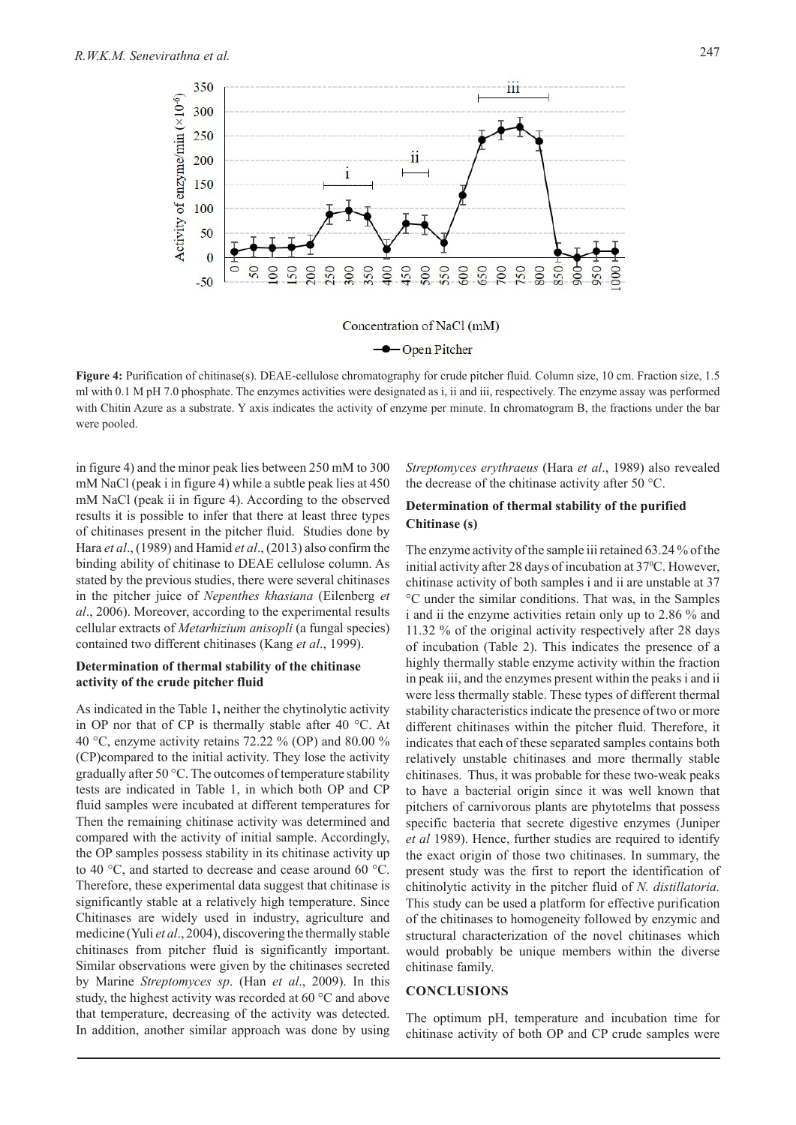

Concentration of NaCl (mM)

#### **-**Open Pitcher

**Figure 4:** Purification of chitinase(s). DEAE-cellulose chromatography for crude pitcher fluid. Column size, 10 cm. Fraction size, 1.5 ml with 0.1 M pH 7.0 phosphate. The enzymes activities were designated as i, ii and iii, respectively. The enzyme assay was performed with Chitin Azure as a substrate. Y axis indicates the activity of enzyme per minute. In chromatogram B, the fractions under the bar were pooled.

in figure 4) and the minor peak lies between 250 mM to 300 mM NaCl (peak i in figure 4) while a subtle peak lies at 450 mM NaCl (peak ii in figure 4). According to the observed results it is possible to infer that there at least three types of chitinases present in the pitcher fluid. Studies done by Hara *et al*., (1989) and Hamid *et al*., (2013) also confirm the binding ability of chitinase to DEAE cellulose column. As stated by the previous studies, there were several chitinases in the pitcher juice of *Nepenthes khasiana* (Eilenberg *et al*., 2006). Moreover, according to the experimental results cellular extracts of *Metarhizium anisopli* (a fungal species) contained two different chitinases (Kang *et al*., 1999).

### **Determination of thermal stability of the chitinase activity of the crude pitcher fluid**

As indicated in the Table 1**,** neither the chytinolytic activity in OP nor that of CP is thermally stable after 40 °C. At 40 °C, enzyme activity retains 72.22 % (OP) and 80.00 % (CP)compared to the initial activity. They lose the activity gradually after 50 °C. The outcomes of temperature stability tests are indicated in Table 1, in which both OP and CP fluid samples were incubated at different temperatures for Then the remaining chitinase activity was determined and compared with the activity of initial sample. Accordingly, the OP samples possess stability in its chitinase activity up to 40 °C, and started to decrease and cease around 60 °C. Therefore, these experimental data suggest that chitinase is significantly stable at a relatively high temperature. Since Chitinases are widely used in industry, agriculture and medicine (Yuli *et al*., 2004), discovering the thermally stable chitinases from pitcher fluid is significantly important. Similar observations were given by the chitinases secreted by Marine *Streptomyces sp*. (Han *et al*., 2009). In this study, the highest activity was recorded at 60 °C and above that temperature, decreasing of the activity was detected. In addition, another similar approach was done by using

*Streptomyces erythraeus* (Hara *et al*., 1989) also revealed the decrease of the chitinase activity after 50 °C.

## **Determination of thermal stability of the purified Chitinase (s)**

The enzyme activity of the sample iii retained 63.24 % of the initial activity after 28 days of incubation at 37<sup>o</sup>C. However, chitinase activity of both samples i and ii are unstable at 37 °C under the similar conditions. That was, in the Samples i and ii the enzyme activities retain only up to 2.86 % and 11.32 % of the original activity respectively after 28 days of incubation (Table 2). This indicates the presence of a highly thermally stable enzyme activity within the fraction in peak iii, and the enzymes present within the peaks i and ii were less thermally stable. These types of different thermal stability characteristics indicate the presence of two or more different chitinases within the pitcher fluid. Therefore, it indicates that each of these separated samples contains both relatively unstable chitinases and more thermally stable chitinases. Thus, it was probable for these two-weak peaks to have a bacterial origin since it was well known that pitchers of carnivorous plants are phytotelms that possess specific bacteria that secrete digestive enzymes (Juniper *et al* 1989). Hence, further studies are required to identify the exact origin of those two chitinases. In summary, the present study was the first to report the identification of chitinolytic activity in the pitcher fluid of *N. distillatoria.* This study can be used a platform for effective purification of the chitinases to homogeneity followed by enzymic and structural characterization of the novel chitinases which would probably be unique members within the diverse chitinase family.

### **CONCLUSIONS**

The optimum pH, temperature and incubation time for chitinase activity of both OP and CP crude samples were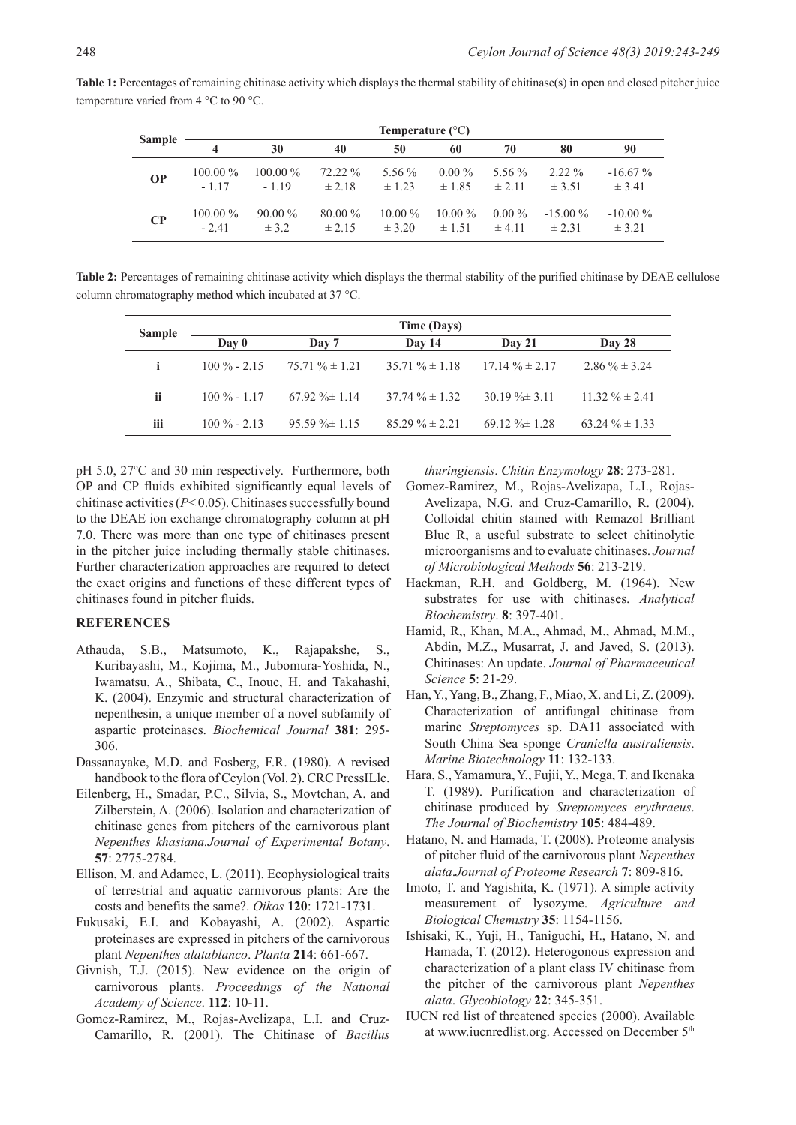| Sample    | Temperature $(^{\circ}C)$ |            |            |            |            |            |            |            |  |  |
|-----------|---------------------------|------------|------------|------------|------------|------------|------------|------------|--|--|
|           |                           | 30         | 40         | 50         | 60         | 70         | 80         | 90         |  |  |
| <b>OP</b> | $100.00\%$                | $100.00\%$ | $72.22\%$  | 5.56 %     | $0.00\%$   | 5.56 %     | $2.22\%$   | $-16.67%$  |  |  |
|           | $-1.17$                   | $-1.19$    | $\pm 2.18$ | $\pm 1.23$ | ± 1.85     | ± 2.11     | $\pm$ 3.51 | $\pm$ 3.41 |  |  |
| $\bf CP$  | $100.00\%$                | $90.00\%$  | $80.00\%$  | $10.00\%$  | $10.00\%$  | $0.00\%$   | $-15.00\%$ | $-10.00\%$ |  |  |
|           | $-2.41$                   | $\pm$ 3.2  | $\pm 2.15$ | ± 3.20     | $\pm 1.51$ | $\pm 4.11$ | $\pm 2.31$ | $\pm$ 3.21 |  |  |

**Table 1:** Percentages of remaining chitinase activity which displays the thermal stability of chitinase(s) in open and closed pitcher juice temperature varied from 4 °C to 90 °C.

**Table 2:** Percentages of remaining chitinase activity which displays the thermal stability of the purified chitinase by DEAE cellulose column chromatography method which incubated at 37 °C.

| <b>Sample</b> | Time (Days)    |                     |                     |                     |                     |  |  |  |  |
|---------------|----------------|---------------------|---------------------|---------------------|---------------------|--|--|--|--|
|               | Day 0          | Day 7               | Day 14              | Day 21              | Day 28              |  |  |  |  |
| Ť.            | $100\% - 2.15$ | $75.71 \% \pm 1.21$ | $35.71 \% \pm 1.18$ | $17.14\% \pm 2.17$  | $2.86\% \pm 3.24$   |  |  |  |  |
| ii            | $100\% - 1.17$ | $67.92\% \pm 1.14$  | $37.74\% \pm 1.32$  | $30.19 \% \pm 3.11$ | $11.32 \% \pm 2.41$ |  |  |  |  |
| iii           | $100\% - 2.13$ | $95.59 \% \pm 1.15$ | $85.29 \% \pm 2.21$ | $69.12\% \pm 1.28$  | $63.24\% \pm 1.33$  |  |  |  |  |

pH 5.0, 27ºC and 30 min respectively. Furthermore, both OP and CP fluids exhibited significantly equal levels of chitinase activities (*P*< 0.05). Chitinases successfully bound to the DEAE ion exchange chromatography column at pH 7.0. There was more than one type of chitinases present in the pitcher juice including thermally stable chitinases. Further characterization approaches are required to detect the exact origins and functions of these different types of chitinases found in pitcher fluids.

#### **REFERENCES**

- Athauda, S.B., Matsumoto, K., Rajapakshe, S., Kuribayashi, M., Kojima, M., Jubomura-Yoshida, N., Iwamatsu, A., Shibata, C., Inoue, H. and Takahashi, K. (2004). Enzymic and structural characterization of nepenthesin, a unique member of a novel subfamily of aspartic proteinases. *Biochemical Journal* **381**: 295- 306.
- Dassanayake, M.D. and Fosberg, F.R. (1980). A revised handbook to the flora of Ceylon (Vol. 2). CRC PressILlc.
- Eilenberg, H., Smadar, P.C., Silvia, S., Movtchan, A. and Zilberstein, A. (2006). Isolation and characterization of chitinase genes from pitchers of the carnivorous plant *Nepenthes khasiana.Journal of Experimental Botany*. **57**: 2775-2784.
- Ellison, M. and Adamec, L. (2011). Ecophysiological traits of terrestrial and aquatic carnivorous plants: Are the costs and benefits the same?. *Oikos* **120**: 1721-1731.
- Fukusaki, E.I. and Kobayashi, A. (2002). Aspartic proteinases are expressed in pitchers of the carnivorous plant *Nepenthes alatablanco*. *Planta* **214**: 661-667.
- Givnish, T.J. (2015). New evidence on the origin of carnivorous plants. *Proceedings of the National Academy of Science*. **112**: 10-11.
- Gomez-Ramirez, M., Rojas-Avelizapa, L.I. and Cruz-Camarillo, R. (2001). The Chitinase of *Bacillus*

*thuringiensis*. *Chitin Enzymology* **28**: 273-281.

- Gomez-Ramirez, M., Rojas-Avelizapa, L.I., Rojas-Avelizapa, N.G. and Cruz-Camarillo, R. (2004). Colloidal chitin stained with Remazol Brilliant Blue R, a useful substrate to select chitinolytic microorganisms and to evaluate chitinases. *Journal of Microbiological Methods* **56**: 213-219.
- Hackman, R.H. and Goldberg, M. (1964). New substrates for use with chitinases. *Analytical Biochemistry*. **8**: 397-401.
- Hamid, R,, Khan, M.A., Ahmad, M., Ahmad, M.M., Abdin, M.Z., Musarrat, J. and Javed, S. (2013). Chitinases: An update. *Journal of Pharmaceutical Science* **5**: 21-29.
- Han, Y., Yang, B., Zhang, F., Miao, X. and Li, Z. (2009). Characterization of antifungal chitinase from marine *Streptomyces* sp. DA11 associated with South China Sea sponge *Craniella australiensis*. *Marine Biotechnology* **11**: 132-133.
- Hara, S., Yamamura, Y., Fujii, Y., Mega, T. and Ikenaka T. (1989). Purification and characterization of chitinase produced by *Streptomyces erythraeus*. *The Journal of Biochemistry* **105**: 484-489.
- Hatano, N. and Hamada, T. (2008). Proteome analysis of pitcher fluid of the carnivorous plant *Nepenthes alata*.*Journal of Proteome Research* **7**: 809-816.
- Imoto, T. and Yagishita, K. (1971). A simple activity measurement of lysozyme. *Agriculture and Biological Chemistry* **35**: 1154-1156.
- Ishisaki, K., Yuji, H., Taniguchi, H., Hatano, N. and Hamada, T. (2012). Heterogonous expression and characterization of a plant class IV chitinase from the pitcher of the carnivorous plant *Nepenthes alata*. *Glycobiology* **22**: 345-351.
- IUCN red list of threatened species (2000). Available at www.iucnredlist.org. Accessed on December 5<sup>th</sup>